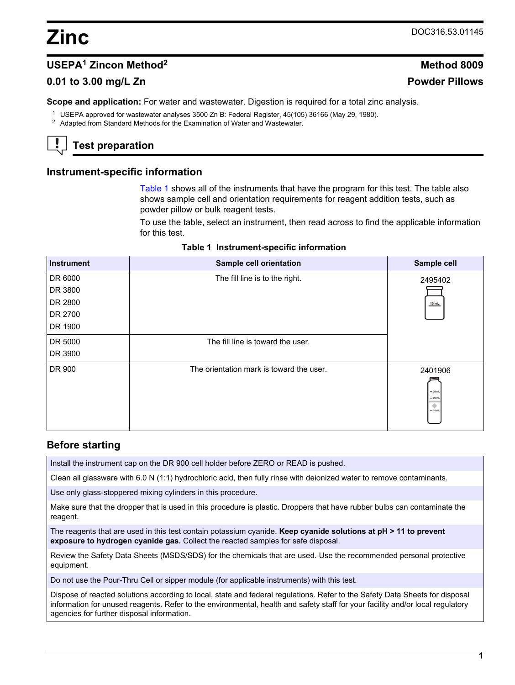# **USEPA<sup>1</sup> Zincon Method<sup>2</sup> Method 8009**

## **0.01 to 3.00 mg/L Zn Powder Pillows**

**Scope and application:** For water and wastewater. Digestion is required for a total zinc analysis.

<sup>1</sup> USEPA approved for wastewater analyses 3500 Zn B: Federal Register, 45(105) 36166 (May 29, 1980).

<sup>2</sup> Adapted from Standard Methods for the Examination of Water and Wastewater.

# **Test preparation**

### **Instrument-specific information**

[Table 1](#page-0-0) shows all of the instruments that have the program for this test. The table also shows sample cell and orientation requirements for reagent addition tests, such as powder pillow or bulk reagent tests.

To use the table, select an instrument, then read across to find the applicable information for this test.

|  | Table 1 Instrument-specific information |  |  |
|--|-----------------------------------------|--|--|
|--|-----------------------------------------|--|--|

<span id="page-0-1"></span><span id="page-0-0"></span>

| <b>Instrument</b> | Sample cell orientation                  | Sample cell                                       |
|-------------------|------------------------------------------|---------------------------------------------------|
| DR 6000           | The fill line is to the right.           | 2495402                                           |
| DR 3800           |                                          |                                                   |
| DR 2800           |                                          | $10$ mL                                           |
| DR 2700           |                                          |                                                   |
| DR 1900           |                                          |                                                   |
| DR 5000           | The fill line is toward the user.        |                                                   |
| DR 3900           |                                          |                                                   |
| DR 900            | The orientation mark is toward the user. | 2401906<br>$-25$ mL<br>$= 20$ mL<br>۰<br>$-10$ mL |

## **Before starting**

Install the instrument cap on the DR 900 cell holder before ZERO or READ is pushed.

Clean all glassware with 6.0 N (1:1) hydrochloric acid, then fully rinse with deionized water to remove contaminants.

Use only glass-stoppered mixing cylinders in this procedure.

Make sure that the dropper that is used in this procedure is plastic. Droppers that have rubber bulbs can contaminate the reagent.

The reagents that are used in this test contain potassium cyanide. **Keep cyanide solutions at pH > 11 to prevent exposure to hydrogen cyanide gas.** Collect the reacted samples for safe disposal.

Review the Safety Data Sheets (MSDS/SDS) for the chemicals that are used. Use the recommended personal protective equipment.

Do not use the Pour-Thru Cell or sipper module (for applicable instruments) with this test.

Dispose of reacted solutions according to local, state and federal regulations. Refer to the Safety Data Sheets for disposal information for unused reagents. Refer to the environmental, health and safety staff for your facility and/or local regulatory agencies for further disposal information.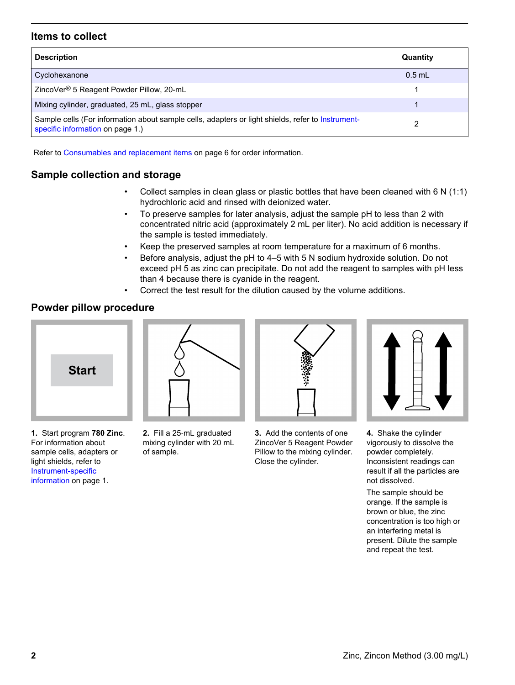## **Items to collect**

| <b>Description</b>                                                                                                                    | Quantity |
|---------------------------------------------------------------------------------------------------------------------------------------|----------|
| Cyclohexanone                                                                                                                         | $0.5$ mL |
| ZincoVer <sup>®</sup> 5 Reagent Powder Pillow, 20-mL                                                                                  |          |
| Mixing cylinder, graduated, 25 mL, glass stopper                                                                                      |          |
| Sample cells (For information about sample cells, adapters or light shields, refer to Instrument-<br>specific information on page 1.) |          |

Refer to [Consumables and replacement items](#page-5-0) on page 6 for order information.

## **Sample collection and storage**

- Collect samples in clean glass or plastic bottles that have been cleaned with  $6 \text{ N } (1:1)$ hydrochloric acid and rinsed with deionized water.
- To preserve samples for later analysis, adjust the sample pH to less than 2 with concentrated nitric acid (approximately 2 mL per liter). No acid addition is necessary if the sample is tested immediately.
- Keep the preserved samples at room temperature for a maximum of 6 months.
- Before analysis, adjust the pH to 4–5 with 5 N sodium hydroxide solution. Do not exceed pH 5 as zinc can precipitate. Do not add the reagent to samples with pH less than 4 because there is cyanide in the reagent.
- Correct the test result for the dilution caused by the volume additions.

## **Powder pillow procedure**



**2.** Fill a 25‑mL graduated mixing cylinder with 20 mL

of sample.



**3.** Add the contents of one ZincoVer 5 Reagent Powder Pillow to the mixing cylinder. Close the cylinder.



**4.** Shake the cylinder vigorously to dissolve the powder completely. Inconsistent readings can result if all the particles are not dissolved.

The sample should be orange. If the sample is brown or blue, the zinc concentration is too high or an interfering metal is present. Dilute the sample and repeat the test.

**1.** Start program **780 Zinc**. For information about sample cells, adapters or light shields, refer to [Instrument-specific](#page-0-1) [information](#page-0-1) on page 1.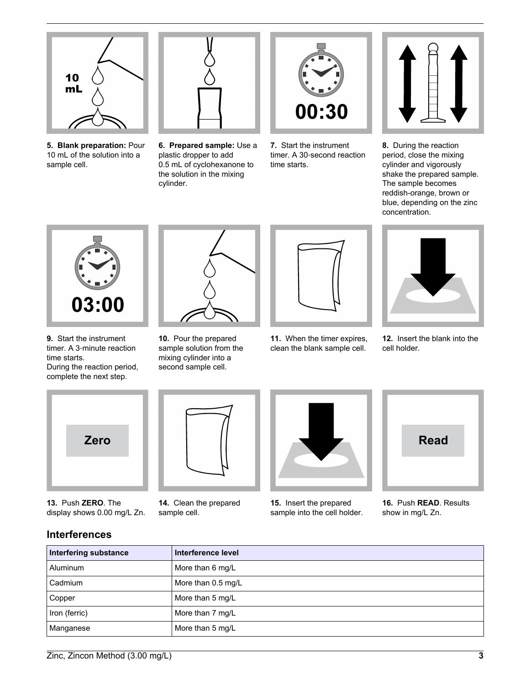

**5. Blank preparation:** Pour 10 mL of the solution into a sample cell.



**6. Prepared sample:** Use a plastic dropper to add 0.5 mL of cyclohexanone to the solution in the mixing cylinder.



**7.** Start the instrument timer. A 30‑second reaction time starts.



**8.** During the reaction period, close the mixing cylinder and vigorously shake the prepared sample. The sample becomes reddish-orange, brown or blue, depending on the zinc concentration.



**9.** Start the instrument timer. A 3‑minute reaction time starts. During the reaction period,

complete the next step.



**10.** Pour the prepared sample solution from the mixing cylinder into a second sample cell.



**11.** When the timer expires, clean the blank sample cell.



**12.** Insert the blank into the cell holder.



**13.** Push **ZERO**. The display shows 0.00 mg/L Zn.



**14.** Clean the prepared sample cell.



**15.** Insert the prepared sample into the cell holder.



**16.** Push **READ**. Results show in mg/L Zn.

# **Interferences**

| <b>Interfering substance</b> | Interference level |
|------------------------------|--------------------|
| Aluminum                     | More than 6 mg/L   |
| Cadmium                      | More than 0.5 mg/L |
| Copper                       | More than 5 mg/L   |
| Iron (ferric)                | More than 7 mg/L   |
| Manganese                    | More than 5 mg/L   |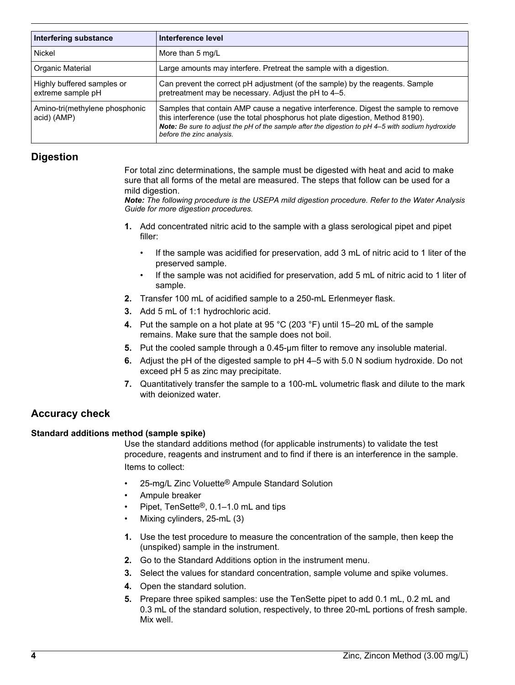| <b>Interfering substance</b>                    | Interference level                                                                                                                                                                                                                                                                                     |
|-------------------------------------------------|--------------------------------------------------------------------------------------------------------------------------------------------------------------------------------------------------------------------------------------------------------------------------------------------------------|
| Nickel                                          | More than 5 mg/L                                                                                                                                                                                                                                                                                       |
| Organic Material                                | Large amounts may interfere. Pretreat the sample with a digestion.                                                                                                                                                                                                                                     |
| Highly buffered samples or<br>extreme sample pH | Can prevent the correct pH adjustment (of the sample) by the reagents. Sample<br>pretreatment may be necessary. Adjust the pH to 4-5.                                                                                                                                                                  |
| Amino-tri(methylene phosphonic<br>acid) (AMP)   | Samples that contain AMP cause a negative interference. Digest the sample to remove<br>this interference (use the total phosphorus hot plate digestion, Method 8190).<br>Note: Be sure to adjust the pH of the sample after the digestion to pH 4-5 with sodium hydroxide<br>before the zinc analysis. |

## **Digestion**

For total zinc determinations, the sample must be digested with heat and acid to make sure that all forms of the metal are measured. The steps that follow can be used for a mild digestion.

*Note: The following procedure is the USEPA mild digestion procedure. Refer to the Water Analysis Guide for more digestion procedures.*

- **1.** Add concentrated nitric acid to the sample with a glass serological pipet and pipet filler:
	- If the sample was acidified for preservation, add 3 mL of nitric acid to 1 liter of the preserved sample.
	- If the sample was not acidified for preservation, add 5 mL of nitric acid to 1 liter of sample.
- **2.** Transfer 100 mL of acidified sample to a 250-mL Erlenmeyer flask.
- **3.** Add 5 mL of 1:1 hydrochloric acid.
- **4.** Put the sample on a hot plate at 95 °C (203 °F) until 15–20 mL of the sample remains. Make sure that the sample does not boil.
- **5.** Put the cooled sample through a 0.45-µm filter to remove any insoluble material.
- **6.** Adjust the pH of the digested sample to pH 4–5 with 5.0 N sodium hydroxide. Do not exceed pH 5 as zinc may precipitate.
- **7.** Quantitatively transfer the sample to a 100-mL volumetric flask and dilute to the mark with deionized water.

# **Accuracy check**

## **Standard additions method (sample spike)**

Use the standard additions method (for applicable instruments) to validate the test procedure, reagents and instrument and to find if there is an interference in the sample. Items to collect:

- 25-mg/L Zinc Voluette® Ampule Standard Solution
- Ampule breaker
- Pipet, TenSette®, 0.1–1.0 mL and tips
- Mixing cylinders, 25-mL (3)
- **1.** Use the test procedure to measure the concentration of the sample, then keep the (unspiked) sample in the instrument.
- **2.** Go to the Standard Additions option in the instrument menu.
- **3.** Select the values for standard concentration, sample volume and spike volumes.
- **4.** Open the standard solution.
- **5.** Prepare three spiked samples: use the TenSette pipet to add 0.1 mL, 0.2 mL and 0.3 mL of the standard solution, respectively, to three 20-mL portions of fresh sample. Mix well.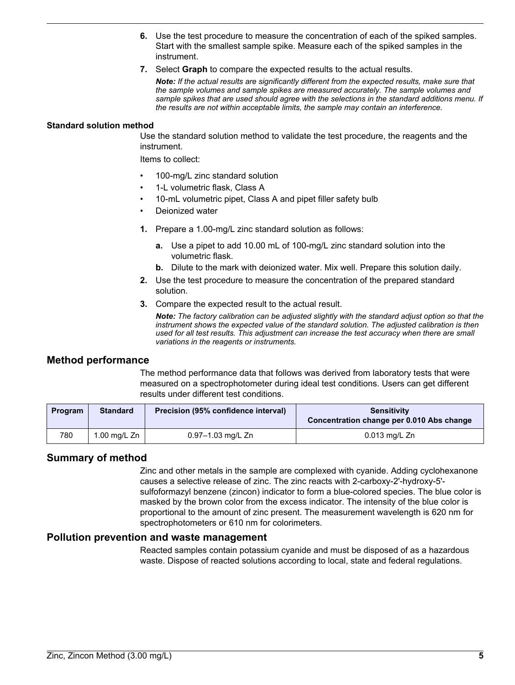- **6.** Use the test procedure to measure the concentration of each of the spiked samples. Start with the smallest sample spike. Measure each of the spiked samples in the instrument.
- **7.** Select **Graph** to compare the expected results to the actual results.

*Note: If the actual results are significantly different from the expected results, make sure that the sample volumes and sample spikes are measured accurately. The sample volumes and sample spikes that are used should agree with the selections in the standard additions menu. If the results are not within acceptable limits, the sample may contain an interference.*

#### **Standard solution method**

Use the standard solution method to validate the test procedure, the reagents and the instrument.

Items to collect:

- 100-mg/L zinc standard solution
- 1-L volumetric flask, Class A
- 10-mL volumetric pipet, Class A and pipet filler safety bulb
- Deionized water
- **1.** Prepare a 1.00-mg/L zinc standard solution as follows:
	- **a.** Use a pipet to add 10.00 mL of 100-mg/L zinc standard solution into the volumetric flask.
	- **b.** Dilute to the mark with deionized water. Mix well. Prepare this solution daily.
- **2.** Use the test procedure to measure the concentration of the prepared standard solution.
- **3.** Compare the expected result to the actual result.

*Note: The factory calibration can be adjusted slightly with the standard adjust option so that the instrument shows the expected value of the standard solution. The adjusted calibration is then used for all test results. This adjustment can increase the test accuracy when there are small variations in the reagents or instruments.*

#### **Method performance**

The method performance data that follows was derived from laboratory tests that were measured on a spectrophotometer during ideal test conditions. Users can get different results under different test conditions.

| Program | <b>Standard</b> | Precision (95% confidence interval) | <b>Sensitivity</b><br>Concentration change per 0.010 Abs change |
|---------|-----------------|-------------------------------------|-----------------------------------------------------------------|
| 780     | 1.00 mg/L Zn    | 0.97-1.03 mg/L Zn                   | $0.013$ mg/L Zn                                                 |

## **Summary of method**

Zinc and other metals in the sample are complexed with cyanide. Adding cyclohexanone causes a selective release of zinc. The zinc reacts with 2-carboxy-2'-hydroxy-5' sulfoformazyl benzene (zincon) indicator to form a blue-colored species. The blue color is masked by the brown color from the excess indicator. The intensity of the blue color is proportional to the amount of zinc present. The measurement wavelength is 620 nm for spectrophotometers or 610 nm for colorimeters.

#### **Pollution prevention and waste management**

Reacted samples contain potassium cyanide and must be disposed of as a hazardous waste. Dispose of reacted solutions according to local, state and federal regulations.